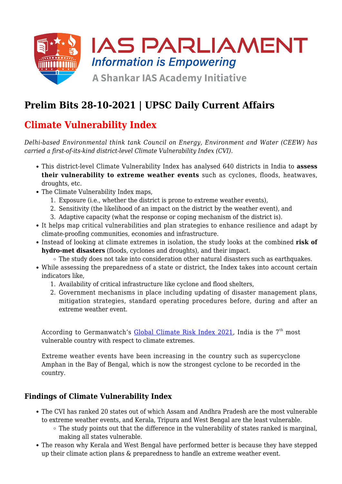

# **Prelim Bits 28-10-2021 | UPSC Daily Current Affairs**

# **Climate Vulnerability Index**

*Delhi-based Environmental think tank Council on Energy, Environment and Water (CEEW) has carried a first-of-its-kind district-level Climate Vulnerability Index (CVI).*

- This district-level Climate Vulnerability Index has analysed 640 districts in India to **assess their vulnerability to extreme weather events** such as cyclones, floods, heatwaves, droughts, etc.
- The Climate Vulnerability Index maps,
	- 1. Exposure (i.e., whether the district is prone to extreme weather events),
	- 2. Sensitivity (the likelihood of an impact on the district by the weather event), and
	- 3. Adaptive capacity (what the response or coping mechanism of the district is).
- It helps map critical vulnerabilities and plan strategies to enhance resilience and adapt by climate-proofing communities, economies and infrastructure.
- Instead of looking at climate extremes in isolation, the study looks at the combined **risk of hydro-met disasters** (floods, cyclones and droughts), and their impact.
	- The study does not take into consideration other natural disasters such as earthquakes.
- While assessing the preparedness of a state or district, the Index takes into account certain indicators like,
	- 1. Availability of critical infrastructure like cyclone and flood shelters,
	- 2. Government mechanisms in place including updating of disaster management plans, mitigation strategies, standard operating procedures before, during and after an extreme weather event.

According to Germanwatch's [Global Climate Risk Index 2021,](https://www.iasparliament.com/current-affairs/upsc-daily-current-affairs-prelim-bits-01-02-2021) India is the  $7<sup>th</sup>$  most vulnerable country with respect to climate extremes.

Extreme weather events have been increasing in the country such as supercyclone Amphan in the Bay of Bengal, which is now the strongest cyclone to be recorded in the country.

#### **Findings of Climate Vulnerability Index**

- The CVI has ranked 20 states out of which Assam and Andhra Pradesh are the most vulnerable to extreme weather events, and Kerala, Tripura and West Bengal are the least vulnerable.
	- The study points out that the difference in the vulnerability of states ranked is marginal, making all states vulnerable.
- The reason why Kerala and West Bengal have performed better is because they have stepped up their climate action plans & preparedness to handle an extreme weather event.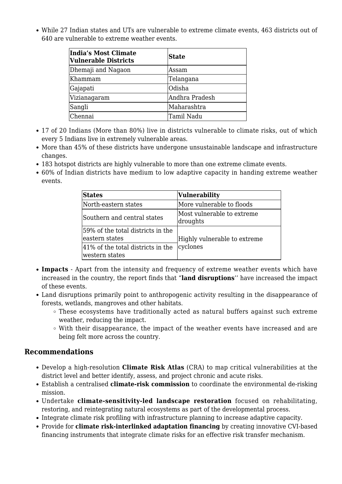While 27 Indian states and UTs are vulnerable to extreme climate events, 463 districts out of 640 are vulnerable to extreme weather events.

| India's Most Climate<br><b>Vulnerable Districts</b> | <b>State</b>   |
|-----------------------------------------------------|----------------|
| Dhemaji and Nagaon                                  | lAssam         |
| Khammam                                             | Telangana      |
| Gajapati                                            | Odisha         |
| Vizianagaram                                        | Andhra Pradesh |
| Sangli                                              | Maharashtra    |
| Chennai                                             | Tamil Nadu     |

- 17 of 20 Indians (More than 80%) live in districts vulnerable to climate risks, out of which every 5 Indians live in extremely vulnerable areas.
- More than 45% of these districts have undergone unsustainable landscape and infrastructure changes.
- 183 hotspot districts are highly vulnerable to more than one extreme climate events.
- 60% of Indian districts have medium to low adaptive capacity in handing extreme weather events.

| <b>States</b>                                       | <b>Vulnerability</b>                   |  |
|-----------------------------------------------------|----------------------------------------|--|
| North-eastern states                                | More vulnerable to floods              |  |
| Southern and central states                         | Most vulnerable to extreme<br>droughts |  |
| 59% of the total districts in the<br>eastern states | Highly vulnerable to extreme           |  |
| 41% of the total districts in the<br>western states | cyclones                               |  |

- **Impacts** Apart from the intensity and frequency of extreme weather events which have increased in the country, the report finds that "**land disruptions**'' have increased the impact of these events.
- Land disruptions primarily point to anthropogenic activity resulting in the disappearance of forests, wetlands, mangroves and other habitats.
	- $\circ$  These ecosystems have traditionally acted as natural buffers against such extreme weather, reducing the impact.
	- With their disappearance, the impact of the weather events have increased and are being felt more across the country.

#### **Recommendations**

- Develop a high-resolution **Climate Risk Atlas** (CRA) to map critical vulnerabilities at the district level and better identify, assess, and project chronic and acute risks.
- Establish a centralised **climate-risk commission** to coordinate the environmental de-risking mission.
- Undertake **climate-sensitivity-led landscape restoration** focused on rehabilitating, restoring, and reintegrating natural ecosystems as part of the developmental process.
- Integrate climate risk profiling with infrastructure planning to increase adaptive capacity.
- Provide for **climate risk-interlinked adaptation financing** by creating innovative CVI-based financing instruments that integrate climate risks for an effective risk transfer mechanism.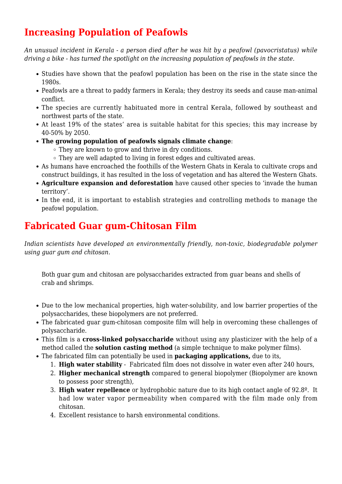### **Increasing Population of Peafowls**

*An unusual incident in Kerala - a person died after he was hit by a peafowl (pavocristatus) while driving a bike - has turned the spotlight on the increasing population of peafowls in the state.*

- Studies have shown that the peafowl population has been on the rise in the state since the 1980s.
- Peafowls are a threat to paddy farmers in Kerala; they destroy its seeds and cause man-animal conflict.
- The species are currently habituated more in central Kerala, followed by southeast and northwest parts of the state.
- At least 19% of the states' area is suitable habitat for this species; this may increase by 40-50% by 2050.
- **The growing population of peafowls signals climate change**:
	- They are known to grow and thrive in dry conditions.
	- They are well adapted to living in forest edges and cultivated areas.
- As humans have encroached the foothills of the Western Ghats in Kerala to cultivate crops and construct buildings, it has resulted in the loss of vegetation and has altered the Western Ghats.
- **Agriculture expansion and deforestation** have caused other species to 'invade the human territory'.
- In the end, it is important to establish strategies and controlling methods to manage the peafowl population.

### **Fabricated Guar gum-Chitosan Film**

*Indian scientists have developed an environmentally friendly, non-toxic, biodegradable polymer using guar gum and chitosan.*

Both guar gum and chitosan are polysaccharides extracted from guar beans and shells of crab and shrimps.

- Due to the low mechanical properties, high water-solubility, and low barrier properties of the polysaccharides, these biopolymers are not preferred.
- The fabricated guar gum-chitosan composite film will help in overcoming these challenges of polysaccharide.
- This film is a **cross-linked polysaccharide** without using any plasticizer with the help of a method called the **solution casting method** (a simple technique to make polymer films).
- The fabricated film can potentially be used in **packaging applications,** due to its,
	- 1. **High water stability** Fabricated film does not dissolve in water even after 240 hours,
	- 2. **Higher mechanical strength** compared to general biopolymer (Biopolymer are known to possess poor strength),
	- 3. **High water repellence** or hydrophobic nature due to its high contact angle of 92.8º. It had low water vapor permeability when compared with the film made only from chitosan.
	- 4. Excellent resistance to harsh environmental conditions.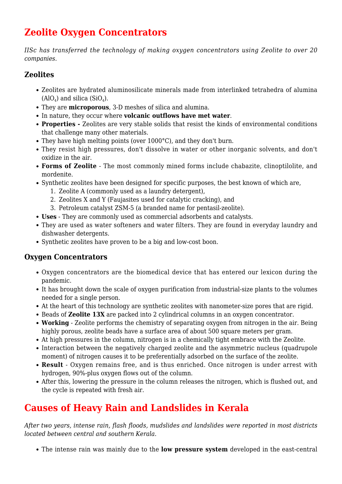### **Zeolite Oxygen Concentrators**

*IISc has transferred the technology of making oxygen concentrators using Zeolite to over 20 companies.*

#### **Zeolites**

- Zeolites are hydrated aluminosilicate minerals made from interlinked tetrahedra of alumina  $(AIO<sub>4</sub>)$  and silica  $(SIO<sub>4</sub>)$ .
- They are **microporous**, 3-D meshes of silica and alumina.
- In nature, they occur where **volcanic outflows have met water**.
- **Properties** Zeolites are very stable solids that resist the kinds of environmental conditions that challenge many other materials.
- They have high melting points (over 1000°C), and they don't burn.
- They resist high pressures, don't dissolve in water or other inorganic solvents, and don't oxidize in the air.
- **Forms of Zeolite** The most commonly mined forms include chabazite, clinoptilolite, and mordenite.
- Synthetic zeolites have been designed for specific purposes, the best known of which are,
	- 1. Zeolite A (commonly used as a laundry detergent),
	- 2. Zeolites X and Y (Faujasites used for catalytic cracking), and
	- 3. Petroleum catalyst ZSM-5 (a branded name for pentasil-zeolite).
- **Uses** They are commonly used as commercial adsorbents and catalysts.
- They are used as water softeners and water filters. They are found in everyday laundry and dishwasher detergents.
- Synthetic zeolites have proven to be a big and low-cost boon.

#### **Oxygen Concentrators**

- Oxygen concentrators are the biomedical device that has entered our lexicon during the pandemic.
- It has brought down the scale of oxygen purification from industrial-size plants to the volumes needed for a single person.
- At the heart of this technology are synthetic zeolites with nanometer-size pores that are rigid.
- Beads of **Zeolite 13X** are packed into 2 cylindrical columns in an oxygen concentrator.
- **Working** Zeolite performs the chemistry of separating oxygen from nitrogen in the air. Being highly porous, zeolite beads have a surface area of about 500 square meters per gram.
- At high pressures in the column, nitrogen is in a chemically tight embrace with the Zeolite.
- Interaction between the negatively charged zeolite and the asymmetric nucleus (quadrupole moment) of nitrogen causes it to be preferentially adsorbed on the surface of the zeolite.
- **Result** Oxygen remains free, and is thus enriched. Once nitrogen is under arrest with hydrogen, 90%-plus oxygen flows out of the column.
- After this, lowering the pressure in the column releases the nitrogen, which is flushed out, and the cycle is repeated with fresh air.

# **Causes of Heavy Rain and Landslides in Kerala**

*After two years, intense rain, flash floods, mudslides and landslides were reported in most districts located between central and southern Kerala.*

The intense rain was mainly due to the **low pressure system** developed in the east-central